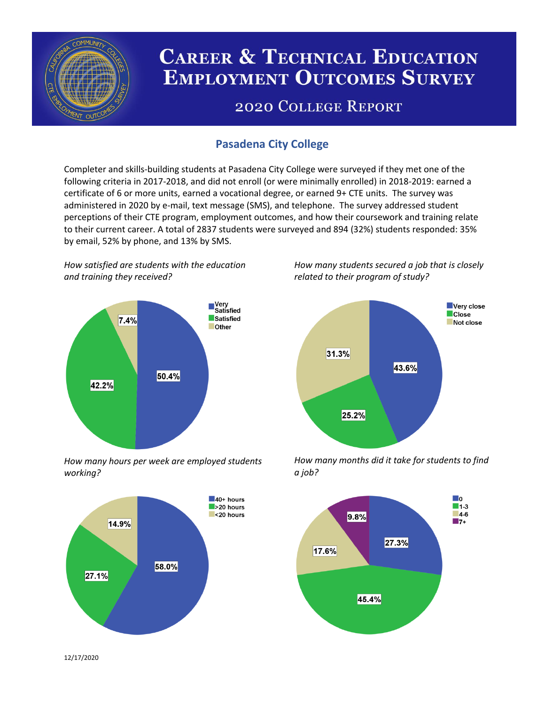

# **CAREER & TECHNICAL EDUCATION EMPLOYMENT OUTCOMES SURVEY**

## **2020 COLLEGE REPORT**

## **Pasadena City College**

Completer and skills-building students at Pasadena City College were surveyed if they met one of the following criteria in 2017-2018, and did not enroll (or were minimally enrolled) in 2018-2019: earned a certificate of 6 or more units, earned a vocational degree, or earned 9+ CTE units. The survey was administered in 2020 by e-mail, text message (SMS), and telephone. The survey addressed student perceptions of their CTE program, employment outcomes, and how their coursework and training relate to their current career. A total of 2837 students were surveyed and 894 (32%) students responded: 35% by email, 52% by phone, and 13% by SMS.

*How satisfied are students with the education and training they received?*



*How many hours per week are employed students working?*



*How many students secured a job that is closely related to their program of study?*



*How many months did it take for students to find a job?*



12/17/2020